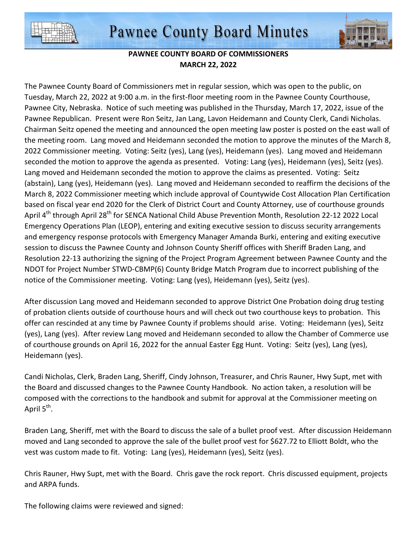



## **PAWNEE COUNTY BOARD OF COMMISSIONERS MARCH 22, 2022**

The Pawnee County Board of Commissioners met in regular session, which was open to the public, on Tuesday, March 22, 2022 at 9:00 a.m. in the first-floor meeting room in the Pawnee County Courthouse, Pawnee City, Nebraska. Notice of such meeting was published in the Thursday, March 17, 2022, issue of the Pawnee Republican. Present were Ron Seitz, Jan Lang, Lavon Heidemann and County Clerk, Candi Nicholas. Chairman Seitz opened the meeting and announced the open meeting law poster is posted on the east wall of the meeting room. Lang moved and Heidemann seconded the motion to approve the minutes of the March 8, 2022 Commissioner meeting. Voting: Seitz (yes), Lang (yes), Heidemann (yes). Lang moved and Heidemann seconded the motion to approve the agenda as presented. Voting: Lang (yes), Heidemann (yes), Seitz (yes). Lang moved and Heidemann seconded the motion to approve the claims as presented. Voting: Seitz (abstain), Lang (yes), Heidemann (yes). Lang moved and Heidemann seconded to reaffirm the decisions of the March 8, 2022 Commissioner meeting which include approval of Countywide Cost Allocation Plan Certification based on fiscal year end 2020 for the Clerk of District Court and County Attorney, use of courthouse grounds April 4<sup>th</sup> through April 28<sup>th</sup> for SENCA National Child Abuse Prevention Month, Resolution 22-12 2022 Local Emergency Operations Plan (LEOP), entering and exiting executive session to discuss security arrangements and emergency response protocols with Emergency Manager Amanda Burki, entering and exiting executive session to discuss the Pawnee County and Johnson County Sheriff offices with Sheriff Braden Lang, and Resolution 22-13 authorizing the signing of the Project Program Agreement between Pawnee County and the NDOT for Project Number STWD-CBMP(6) County Bridge Match Program due to incorrect publishing of the notice of the Commissioner meeting. Voting: Lang (yes), Heidemann (yes), Seitz (yes).

After discussion Lang moved and Heidemann seconded to approve District One Probation doing drug testing of probation clients outside of courthouse hours and will check out two courthouse keys to probation. This offer can rescinded at any time by Pawnee County if problems should arise. Voting: Heidemann (yes), Seitz (yes), Lang (yes). After review Lang moved and Heidemann seconded to allow the Chamber of Commerce use of courthouse grounds on April 16, 2022 for the annual Easter Egg Hunt. Voting: Seitz (yes), Lang (yes), Heidemann (yes).

Candi Nicholas, Clerk, Braden Lang, Sheriff, Cindy Johnson, Treasurer, and Chris Rauner, Hwy Supt, met with the Board and discussed changes to the Pawnee County Handbook. No action taken, a resolution will be composed with the corrections to the handbook and submit for approval at the Commissioner meeting on April 5<sup>th</sup>.

Braden Lang, Sheriff, met with the Board to discuss the sale of a bullet proof vest. After discussion Heidemann moved and Lang seconded to approve the sale of the bullet proof vest for \$627.72 to Elliott Boldt, who the vest was custom made to fit. Voting: Lang (yes), Heidemann (yes), Seitz (yes).

Chris Rauner, Hwy Supt, met with the Board. Chris gave the rock report. Chris discussed equipment, projects and ARPA funds.

The following claims were reviewed and signed: